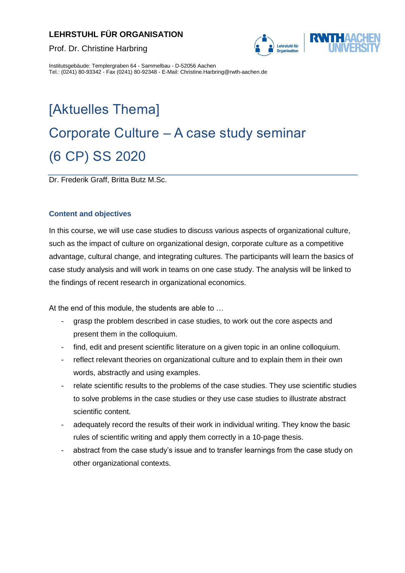# **LEHRSTUHL FÜR ORGANISATION**





Institutsgebäude: Templergraben 64 - Sammelbau - D-52056 Aachen Tel.: (0241) 80-93342 - Fax (0241) 80-92348 - E-Mail: Christine.Harbring@rwth-aachen.de

# [Aktuelles Thema] Corporate Culture – A case study seminar (6 CP) SS 2020

Dr. Frederik Graff, Britta Butz M.Sc.

# **Content and objectives**

In this course, we will use case studies to discuss various aspects of organizational culture, such as the impact of culture on organizational design, corporate culture as a competitive advantage, cultural change, and integrating cultures. The participants will learn the basics of case study analysis and will work in teams on one case study. The analysis will be linked to the findings of recent research in organizational economics.

At the end of this module, the students are able to …

- grasp the problem described in case studies, to work out the core aspects and present them in the colloquium.
- find, edit and present scientific literature on a given topic in an online colloquium.
- reflect relevant theories on organizational culture and to explain them in their own words, abstractly and using examples.
- relate scientific results to the problems of the case studies. They use scientific studies to solve problems in the case studies or they use case studies to illustrate abstract scientific content.
- adequately record the results of their work in individual writing. They know the basic rules of scientific writing and apply them correctly in a 10-page thesis.
- abstract from the case study's issue and to transfer learnings from the case study on other organizational contexts.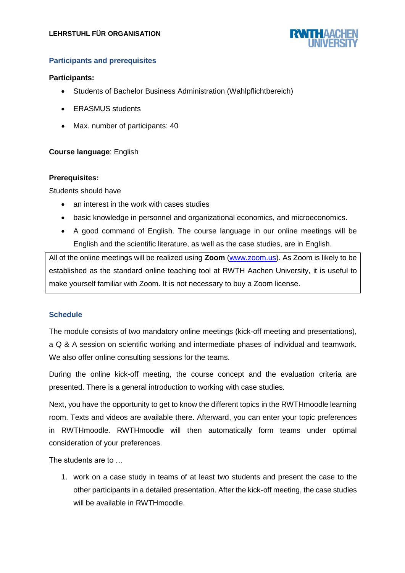

## **Participants and prerequisites**

#### **Participants:**

- Students of Bachelor Business Administration (Wahlpflichtbereich)
- **ERASMUS** students
- Max. number of participants: 40

#### **Course language**: English

#### **Prerequisites:**

Students should have

- an interest in the work with cases studies
- basic knowledge in personnel and organizational economics, and microeconomics.
- A good command of English. The course language in our online meetings will be English and the scientific literature, as well as the case studies, are in English.

All of the online meetings will be realized using **Zoom** [\(www.zoom.us\)](http://www.zoom.us/). As Zoom is likely to be established as the standard online teaching tool at RWTH Aachen University, it is useful to make yourself familiar with Zoom. It is not necessary to buy a Zoom license.

#### **Schedule**

The module consists of two mandatory online meetings (kick-off meeting and presentations), a Q & A session on scientific working and intermediate phases of individual and teamwork. We also offer online consulting sessions for the teams.

During the online kick-off meeting, the course concept and the evaluation criteria are presented. There is a general introduction to working with case studies.

Next, you have the opportunity to get to know the different topics in the RWTHmoodle learning room. Texts and videos are available there. Afterward, you can enter your topic preferences in RWTHmoodle. RWTHmoodle will then automatically form teams under optimal consideration of your preferences.

The students are to …

1. work on a case study in teams of at least two students and present the case to the other participants in a detailed presentation. After the kick-off meeting, the case studies will be available in RWTHmoodle.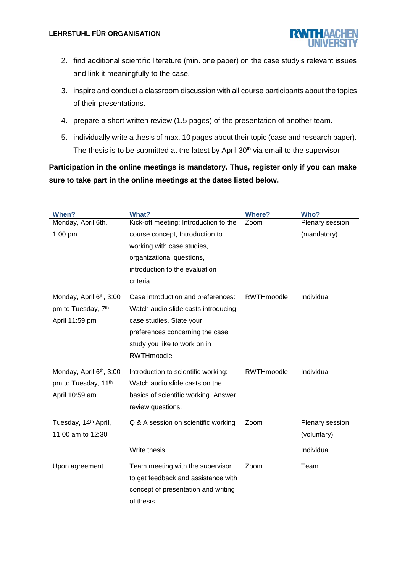

- 2. find additional scientific literature (min. one paper) on the case study's relevant issues and link it meaningfully to the case.
- 3. inspire and conduct a classroom discussion with all course participants about the topics of their presentations.
- 4. prepare a short written review (1.5 pages) of the presentation of another team.
- 5. individually write a thesis of max. 10 pages about their topic (case and research paper). The thesis is to be submitted at the latest by April  $30<sup>th</sup>$  via email to the supervisor

**Participation in the online meetings is mandatory. Thus, register only if you can make sure to take part in the online meetings at the dates listed below.**

| When?                                | <b>What?</b>                          | <b>Where?</b>     | Who?            |
|--------------------------------------|---------------------------------------|-------------------|-----------------|
| Monday, April 6th,                   | Kick-off meeting: Introduction to the | Zoom              | Plenary session |
| 1.00 pm                              | course concept, Introduction to       |                   | (mandatory)     |
|                                      | working with case studies,            |                   |                 |
|                                      | organizational questions,             |                   |                 |
|                                      | introduction to the evaluation        |                   |                 |
|                                      | criteria                              |                   |                 |
|                                      |                                       |                   |                 |
| Monday, April 6th, 3:00              | Case introduction and preferences:    | <b>RWTHmoodle</b> | Individual      |
| pm to Tuesday, 7th                   | Watch audio slide casts introducing   |                   |                 |
| April 11:59 pm                       | case studies. State your              |                   |                 |
|                                      | preferences concerning the case       |                   |                 |
|                                      | study you like to work on in          |                   |                 |
|                                      | RWTHmoodle                            |                   |                 |
| Monday, April 6 <sup>th</sup> , 3:00 | Introduction to scientific working:   | RWTHmoodle        | Individual      |
| pm to Tuesday, 11 <sup>th</sup>      | Watch audio slide casts on the        |                   |                 |
| April 10:59 am                       | basics of scientific working. Answer  |                   |                 |
|                                      | review questions.                     |                   |                 |
|                                      |                                       |                   |                 |
| Tuesday, 14 <sup>th</sup> April,     | Q & A session on scientific working   | Zoom              | Plenary session |
| 11:00 am to 12:30                    |                                       |                   | (voluntary)     |
|                                      | Write thesis.                         |                   | Individual      |
| Upon agreement                       | Team meeting with the supervisor      | Zoom              | Team            |
|                                      | to get feedback and assistance with   |                   |                 |
|                                      | concept of presentation and writing   |                   |                 |
|                                      | of thesis                             |                   |                 |
|                                      |                                       |                   |                 |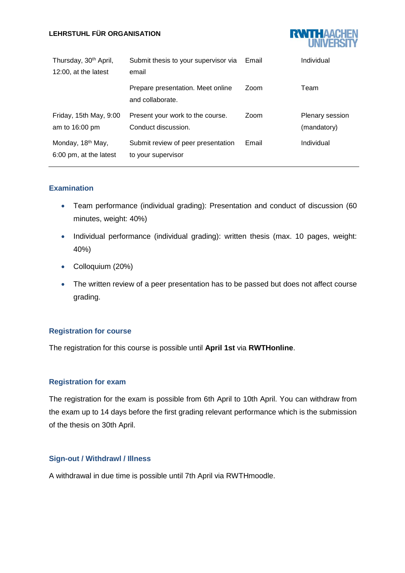#### **LEHRSTUHL FÜR ORGANISATION**



| Thursday, 30 <sup>th</sup> April,<br>12:00, at the latest | Submit thesis to your supervisor via<br>email            | Email | Individual                     |
|-----------------------------------------------------------|----------------------------------------------------------|-------|--------------------------------|
|                                                           | Prepare presentation. Meet online<br>and collaborate.    | Zoom  | Team                           |
| Friday, 15th May, 9:00<br>am to 16:00 pm                  | Present your work to the course.<br>Conduct discussion.  | Zoom  | Plenary session<br>(mandatory) |
| Monday, 18 <sup>th</sup> May,<br>6:00 pm, at the latest   | Submit review of peer presentation<br>to your supervisor | Email | Individual                     |

## **Examination**

- Team performance (individual grading): Presentation and conduct of discussion (60 minutes, weight: 40%)
- Individual performance (individual grading): written thesis (max. 10 pages, weight: 40%)
- Colloquium (20%)
- The written review of a peer presentation has to be passed but does not affect course grading.

#### **Registration for course**

The registration for this course is possible until **April 1st** via **RWTHonline**.

#### **Registration for exam**

The registration for the exam is possible from 6th April to 10th April. You can withdraw from the exam up to 14 days before the first grading relevant performance which is the submission of the thesis on 30th April.

#### **Sign-out / Withdrawl / Illness**

A withdrawal in due time is possible until 7th April via RWTHmoodle.